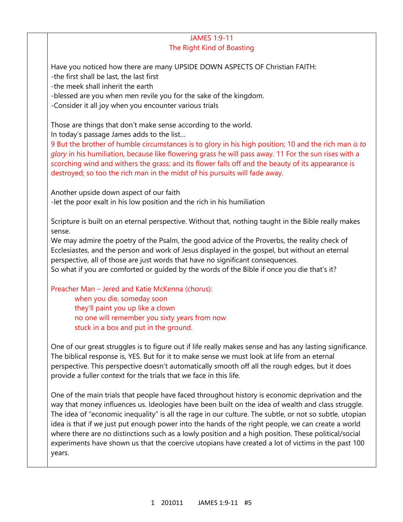## JAMES 1:9-11 The Right Kind of Boasting

Have you noticed how there are many UPSIDE DOWN ASPECTS OF Christian FAITH:

-the first shall be last, the last first

-the meek shall inherit the earth

-blessed are you when men revile you for the sake of the kingdom.

-Consider it all joy when you encounter various trials

Those are things that don't make sense according to the world. In today's passage James adds to the list…

9 But the brother of humble circumstances is to glory in his high position; 10 and the rich man *is to glory* in his humiliation, because like flowering grass he will pass away. 11 For the sun rises with a scorching wind and withers the grass; and its flower falls off and the beauty of its appearance is destroyed; so too the rich man in the midst of his pursuits will fade away.

Another upside down aspect of our faith -let the poor exalt in his low position and the rich in his humiliation

Scripture is built on an eternal perspective. Without that, nothing taught in the Bible really makes sense.

We may admire the poetry of the Psalm, the good advice of the Proverbs, the reality check of Ecclesiastes, and the person and work of Jesus displayed in the gospel, but without an eternal perspective, all of those are just words that have no significant consequences.

So what if you are comforted or guided by the words of the Bible if once you die that's it?

Preacher Man – Jered and Katie McKenna (chorus): when you die, someday soon they'll paint you up like a clown no one will remember you sixty years from now stuck in a box and put in the ground.

One of our great struggles is to figure out if life really makes sense and has any lasting significance. The biblical response is, YES. But for it to make sense we must look at life from an eternal perspective. This perspective doesn't automatically smooth off all the rough edges, but it does provide a fuller context for the trials that we face in this life.

One of the main trials that people have faced throughout history is economic deprivation and the way that money influences us. Ideologies have been built on the idea of wealth and class struggle. The idea of "economic inequality" is all the rage in our culture. The subtle, or not so subtle, utopian idea is that if we just put enough power into the hands of the right people, we can create a world where there are no distinctions such as a lowly position and a high position. These political/social experiments have shown us that the coercive utopians have created a lot of victims in the past 100 years.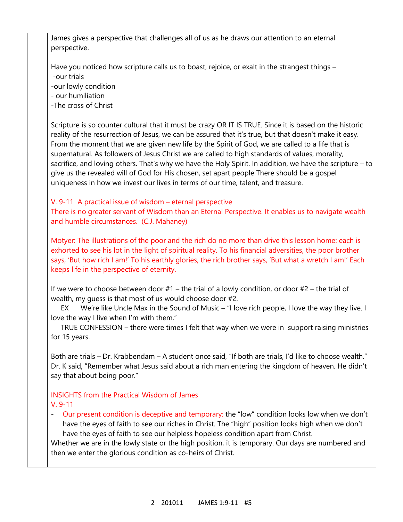James gives a perspective that challenges all of us as he draws our attention to an eternal perspective. Have you noticed how scripture calls us to boast, rejoice, or exalt in the strangest things --our trials -our lowly condition - our humiliation -The cross of Christ Scripture is so counter cultural that it must be crazy OR IT IS TRUE. Since it is based on the historic reality of the resurrection of Jesus, we can be assured that it's true, but that doesn't make it easy. From the moment that we are given new life by the Spirit of God, we are called to a life that is supernatural. As followers of Jesus Christ we are called to high standards of values, morality, sacrifice, and loving others. That's why we have the Holy Spirit. In addition, we have the scripture – to give us the revealed will of God for His chosen, set apart people There should be a gospel uniqueness in how we invest our lives in terms of our time, talent, and treasure. V. 9-11 A practical issue of wisdom – eternal perspective There is no greater servant of Wisdom than an Eternal Perspective. It enables us to navigate wealth and humble circumstances. (C.J. Mahaney) Motyer: The illustrations of the poor and the rich do no more than drive this lesson home: each is exhorted to see his lot in the light of spiritual reality. To his financial adversities, the poor brother says, 'But how rich I am!' To his earthly glories, the rich brother says, 'But what a wretch I am!' Each keeps life in the perspective of eternity. If we were to choose between door  $#1$  – the trial of a lowly condition, or door  $#2$  – the trial of wealth, my guess is that most of us would choose door #2. EX We're like Uncle Max in the Sound of Music – "I love rich people, I love the way they live. I love the way I live when I'm with them." TRUE CONFESSION – there were times I felt that way when we were in support raising ministries for 15 years. Both are trials – Dr. Krabbendam – A student once said, "If both are trials, I'd like to choose wealth." Dr. K said, "Remember what Jesus said about a rich man entering the kingdom of heaven. He didn't say that about being poor." INSIGHTS from the Practical Wisdom of James V. 9-11 - Our present condition is deceptive and temporary: the "low" condition looks low when we don't have the eyes of faith to see our riches in Christ. The "high" position looks high when we don't have the eyes of faith to see our helpless hopeless condition apart from Christ. Whether we are in the lowly state or the high position, it is temporary. Our days are numbered and then we enter the glorious condition as co-heirs of Christ.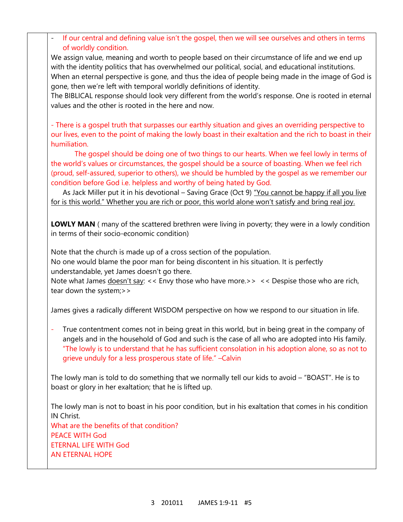| If our central and defining value isn't the gospel, then we will see ourselves and others in terms<br>$\sim$ $-$<br>of worldly condition.                                                                                                                                                                                                                                                                                                                                                    |
|----------------------------------------------------------------------------------------------------------------------------------------------------------------------------------------------------------------------------------------------------------------------------------------------------------------------------------------------------------------------------------------------------------------------------------------------------------------------------------------------|
| We assign value, meaning and worth to people based on their circumstance of life and we end up<br>with the identity politics that has overwhelmed our political, social, and educational institutions.<br>When an eternal perspective is gone, and thus the idea of people being made in the image of God is<br>gone, then we're left with temporal worldly definitions of identity.<br>The BIBLICAL response should look very different from the world's response. One is rooted in eternal |
| values and the other is rooted in the here and now.                                                                                                                                                                                                                                                                                                                                                                                                                                          |
| - There is a gospel truth that surpasses our earthly situation and gives an overriding perspective to<br>our lives, even to the point of making the lowly boast in their exaltation and the rich to boast in their<br>humiliation.                                                                                                                                                                                                                                                           |
| The gospel should be doing one of two things to our hearts. When we feel lowly in terms of<br>the world's values or circumstances, the gospel should be a source of boasting. When we feel rich<br>(proud, self-assured, superior to others), we should be humbled by the gospel as we remember our<br>condition before God i.e. helpless and worthy of being hated by God.                                                                                                                  |
| As Jack Miller put it in his devotional - Saving Grace (Oct 9) "You cannot be happy if all you live<br>for is this world." Whether you are rich or poor, this world alone won't satisfy and bring real joy.                                                                                                                                                                                                                                                                                  |
| <b>LOWLY MAN</b> (many of the scattered brethren were living in poverty; they were in a lowly condition<br>in terms of their socio-economic condition)                                                                                                                                                                                                                                                                                                                                       |
| Note that the church is made up of a cross section of the population.<br>No one would blame the poor man for being discontent in his situation. It is perfectly<br>understandable, yet James doesn't go there.                                                                                                                                                                                                                                                                               |
| Note what James doesn't say: << Envy those who have more.>> << Despise those who are rich,<br>tear down the system;>>                                                                                                                                                                                                                                                                                                                                                                        |
| James gives a radically different WISDOM perspective on how we respond to our situation in life.                                                                                                                                                                                                                                                                                                                                                                                             |
| True contentment comes not in being great in this world, but in being great in the company of<br>angels and in the household of God and such is the case of all who are adopted into His family.<br>"The lowly is to understand that he has sufficient consolation in his adoption alone, so as not to<br>grieve unduly for a less prosperous state of life." - Calvin                                                                                                                       |
| The lowly man is told to do something that we normally tell our kids to avoid - "BOAST". He is to<br>boast or glory in her exaltation; that he is lifted up.                                                                                                                                                                                                                                                                                                                                 |
| The lowly man is not to boast in his poor condition, but in his exaltation that comes in his condition<br>IN Christ.                                                                                                                                                                                                                                                                                                                                                                         |
| What are the benefits of that condition?                                                                                                                                                                                                                                                                                                                                                                                                                                                     |
| <b>PEACE WITH God</b><br><b>ETERNAL LIFE WITH God</b>                                                                                                                                                                                                                                                                                                                                                                                                                                        |
| AN ETERNAL HOPE                                                                                                                                                                                                                                                                                                                                                                                                                                                                              |
|                                                                                                                                                                                                                                                                                                                                                                                                                                                                                              |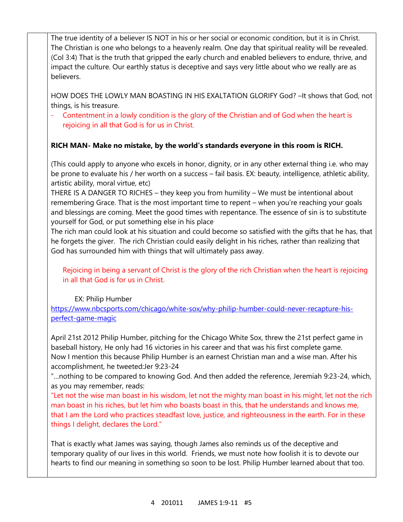The true identity of a believer IS NOT in his or her social or economic condition, but it is in Christ. The Christian is one who belongs to a heavenly realm. One day that spiritual reality will be revealed. (Col 3:4) That is the truth that gripped the early church and enabled believers to endure, thrive, and impact the culture. Our earthly status is deceptive and says very little about who we really are as believers.

HOW DOES THE LOWLY MAN BOASTING IN HIS EXALTATION GLORIFY God? - It shows that God, not things, is his treasure.

- Contentment in a lowly condition is the glory of the Christian and of God when the heart is rejoicing in all that God is for us in Christ.

## **RICH MAN- Make no mistake, by the world's standards everyone in this room is RICH.**

(This could apply to anyone who excels in honor, dignity, or in any other external thing i.e. who may be prone to evaluate his / her worth on a success – fail basis. EX: beauty, intelligence, athletic ability, artistic ability, moral virtue, etc)

THERE IS A DANGER TO RICHES – they keep you from humility – We must be intentional about remembering Grace. That is the most important time to repent – when you're reaching your goals and blessings are coming. Meet the good times with repentance. The essence of sin is to substitute yourself for God, or put something else in his place

The rich man could look at his situation and could become so satisfied with the gifts that he has, that he forgets the giver. The rich Christian could easily delight in his riches, rather than realizing that God has surrounded him with things that will ultimately pass away.

Rejoicing in being a servant of Christ is the glory of the rich Christian when the heart is rejoicing in all that God is for us in Christ.

## EX: Philip Humber

[https://www.nbcsports.com/chicago/white-sox/why-philip-humber-could-never-recapture-his](https://www.nbcsports.com/chicago/white-sox/why-philip-humber-could-never-recapture-his-perfect-game-magic)[perfect-game-magic](https://www.nbcsports.com/chicago/white-sox/why-philip-humber-could-never-recapture-his-perfect-game-magic)

April 21st 2012 Philip Humber, pitching for the Chicago White Sox, threw the 21st perfect game in baseball history, He only had 16 victories in his career and that was his first complete game. Now I mention this because Philip Humber is an earnest Christian man and a wise man. After his accomplishment, he tweeted:Jer 9:23-24

"…nothing to be compared to knowing God. And then added the reference, Jeremiah 9:23-24, which, as you may remember, reads:

"Let not the wise man boast in his wisdom, let not the mighty man boast in his might, let not the rich man boast in his riches, but let him who boasts boast in this, that he understands and knows me, that I am the Lord who practices steadfast love, justice, and righteousness in the earth. For in these things I delight, declares the Lord."

That is exactly what James was saying, though James also reminds us of the deceptive and temporary quality of our lives in this world. Friends, we must note how foolish it is to devote our hearts to find our meaning in something so soon to be lost. Philip Humber learned about that too.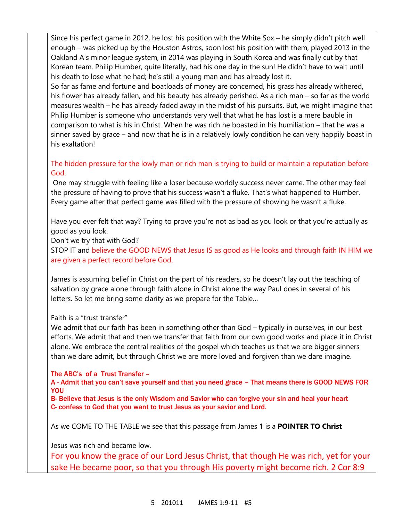Since his perfect game in 2012, he lost his position with the White Sox – he simply didn't pitch well enough – was picked up by the Houston Astros, soon lost his position with them, played 2013 in the Oakland A's minor league system, in 2014 was playing in South Korea and was finally cut by that Korean team. Philip Humber, quite literally, had his one day in the sun! He didn't have to wait until his death to lose what he had; he's still a young man and has already lost it.

So far as fame and fortune and boatloads of money are concerned, his grass has already withered, his flower has already fallen, and his beauty has already perished. As a rich man – so far as the world measures wealth – he has already faded away in the midst of his pursuits. But, we might imagine that Philip Humber is someone who understands very well that what he has lost is a mere bauble in comparison to what is his in Christ. When he was rich he boasted in his humiliation – that he was a sinner saved by grace – and now that he is in a relatively lowly condition he can very happily boast in his exaltation!

## The hidden pressure for the lowly man or rich man is trying to build or maintain a reputation before God.

One may struggle with feeling like a loser because worldly success never came. The other may feel the pressure of having to prove that his success wasn't a fluke. That's what happened to Humber. Every game after that perfect game was filled with the pressure of showing he wasn't a fluke.

Have you ever felt that way? Trying to prove you're not as bad as you look or that you're actually as good as you look.

Don't we try that with God?

STOP IT and believe the GOOD NEWS that Jesus IS as good as He looks and through faith IN HIM we are given a perfect record before God.

James is assuming belief in Christ on the part of his readers, so he doesn't lay out the teaching of salvation by grace alone through faith alone in Christ alone the way Paul does in several of his letters. So let me bring some clarity as we prepare for the Table…

Faith is a "trust transfer"

We admit that our faith has been in something other than God - typically in ourselves, in our best efforts. We admit that and then we transfer that faith from our own good works and place it in Christ alone. We embrace the central realities of the gospel which teaches us that we are bigger sinners than we dare admit, but through Christ we are more loved and forgiven than we dare imagine.

The ABC's of a Trust Transfer –

A - Admit that you can't save yourself and that you need grace – That means there is GOOD NEWS FOR YOU

B- Believe that Jesus is the only Wisdom and Savior who can forgive your sin and heal your heart C- confess to God that you want to trust Jesus as your savior and Lord.

As we COME TO THE TABLE we see that this passage from James 1 is a **POINTER TO Christ**

Jesus was rich and became low.

For you know the grace of our Lord Jesus Christ, that though He was rich, yet for your sake He became poor, so that you through His poverty might become rich. 2 Cor 8:9